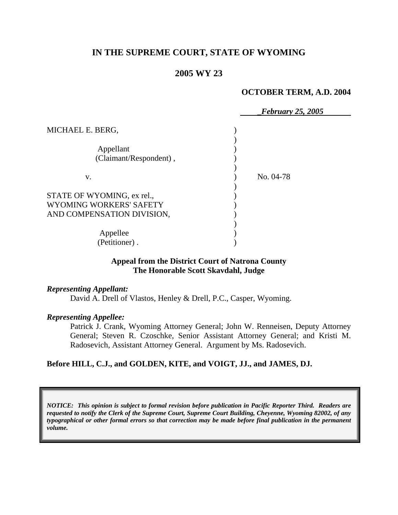# **IN THE SUPREME COURT, STATE OF WYOMING**

## **2005 WY 23**

#### **OCTOBER TERM, A.D. 2004**

|                            | <b>February 25, 2005</b> |
|----------------------------|--------------------------|
| MICHAEL E. BERG,           |                          |
| Appellant                  |                          |
| (Claimant/Respondent),     |                          |
| V.                         | No. 04-78                |
| STATE OF WYOMING, ex rel., |                          |
| WYOMING WORKERS' SAFETY    |                          |
| AND COMPENSATION DIVISION, |                          |
| Appellee                   |                          |
| (Petitioner).              |                          |

### **Appeal from the District Court of Natrona County The Honorable Scott Skavdahl, Judge**

*Representing Appellant:* 

David A. Drell of Vlastos, Henley & Drell, P.C., Casper, Wyoming.

#### *Representing Appellee:*

Patrick J. Crank, Wyoming Attorney General; John W. Renneisen, Deputy Attorney General; Steven R. Czoschke, Senior Assistant Attorney General; and Kristi M. Radosevich, Assistant Attorney General. Argument by Ms. Radosevich.

#### **Before HILL, C.J., and GOLDEN, KITE, and VOIGT, JJ., and JAMES, DJ.**

*NOTICE: This opinion is subject to formal revision before publication in Pacific Reporter Third. Readers are requested to notify the Clerk of the Supreme Court, Supreme Court Building, Cheyenne, Wyoming 82002, of any typographical or other formal errors so that correction may be made before final publication in the permanent volume.*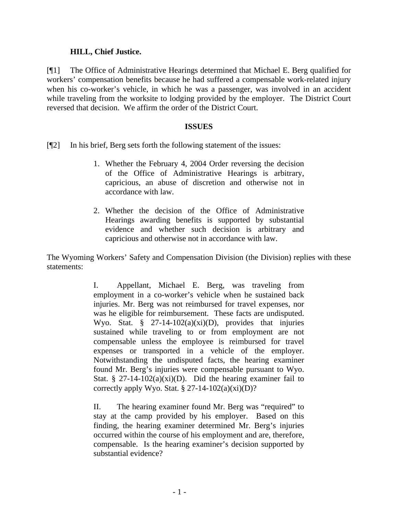### **HILL, Chief Justice.**

[¶1] The Office of Administrative Hearings determined that Michael E. Berg qualified for workers' compensation benefits because he had suffered a compensable work-related injury when his co-worker's vehicle, in which he was a passenger, was involved in an accident while traveling from the worksite to lodging provided by the employer. The District Court reversed that decision. We affirm the order of the District Court.

### **ISSUES**

[¶2] In his brief, Berg sets forth the following statement of the issues:

- 1. Whether the February 4, 2004 Order reversing the decision of the Office of Administrative Hearings is arbitrary, capricious, an abuse of discretion and otherwise not in accordance with law.
- 2. Whether the decision of the Office of Administrative Hearings awarding benefits is supported by substantial evidence and whether such decision is arbitrary and capricious and otherwise not in accordance with law.

The Wyoming Workers' Safety and Compensation Division (the Division) replies with these statements:

> I. Appellant, Michael E. Berg, was traveling from employment in a co-worker's vehicle when he sustained back injuries. Mr. Berg was not reimbursed for travel expenses, nor was he eligible for reimbursement. These facts are undisputed. Wyo. Stat.  $\S$  27-14-102(a)(xi)(D), provides that injuries sustained while traveling to or from employment are not compensable unless the employee is reimbursed for travel expenses or transported in a vehicle of the employer. Notwithstanding the undisputed facts, the hearing examiner found Mr. Berg's injuries were compensable pursuant to Wyo. Stat. § 27-14-102(a)(xi)(D). Did the hearing examiner fail to correctly apply Wyo. Stat.  $\S 27-14-102(a)(xi)(D)$ ?

> II. The hearing examiner found Mr. Berg was "required" to stay at the camp provided by his employer. Based on this finding, the hearing examiner determined Mr. Berg's injuries occurred within the course of his employment and are, therefore, compensable. Is the hearing examiner's decision supported by substantial evidence?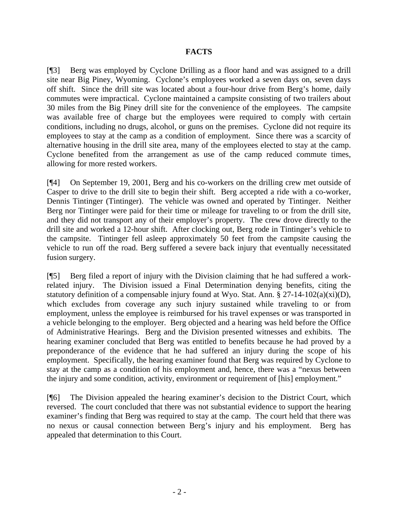## **FACTS**

[¶3] Berg was employed by Cyclone Drilling as a floor hand and was assigned to a drill site near Big Piney, Wyoming. Cyclone's employees worked a seven days on, seven days off shift. Since the drill site was located about a four-hour drive from Berg's home, daily commutes were impractical. Cyclone maintained a campsite consisting of two trailers about 30 miles from the Big Piney drill site for the convenience of the employees. The campsite was available free of charge but the employees were required to comply with certain conditions, including no drugs, alcohol, or guns on the premises. Cyclone did not require its employees to stay at the camp as a condition of employment. Since there was a scarcity of alternative housing in the drill site area, many of the employees elected to stay at the camp. Cyclone benefited from the arrangement as use of the camp reduced commute times, allowing for more rested workers.

[¶4] On September 19, 2001, Berg and his co-workers on the drilling crew met outside of Casper to drive to the drill site to begin their shift. Berg accepted a ride with a co-worker, Dennis Tintinger (Tintinger). The vehicle was owned and operated by Tintinger. Neither Berg nor Tintinger were paid for their time or mileage for traveling to or from the drill site, and they did not transport any of their employer's property. The crew drove directly to the drill site and worked a 12-hour shift. After clocking out, Berg rode in Tintinger's vehicle to the campsite. Tintinger fell asleep approximately 50 feet from the campsite causing the vehicle to run off the road. Berg suffered a severe back injury that eventually necessitated fusion surgery.

[¶5] Berg filed a report of injury with the Division claiming that he had suffered a workrelated injury. The Division issued a Final Determination denying benefits, citing the statutory definition of a compensable injury found at Wyo. Stat. Ann. § 27-14-102(a)(xi)(D), which excludes from coverage any such injury sustained while traveling to or from employment, unless the employee is reimbursed for his travel expenses or was transported in a vehicle belonging to the employer. Berg objected and a hearing was held before the Office of Administrative Hearings. Berg and the Division presented witnesses and exhibits. The hearing examiner concluded that Berg was entitled to benefits because he had proved by a preponderance of the evidence that he had suffered an injury during the scope of his employment. Specifically, the hearing examiner found that Berg was required by Cyclone to stay at the camp as a condition of his employment and, hence, there was a "nexus between the injury and some condition, activity, environment or requirement of [his] employment."

[¶6] The Division appealed the hearing examiner's decision to the District Court, which reversed. The court concluded that there was not substantial evidence to support the hearing examiner's finding that Berg was required to stay at the camp. The court held that there was no nexus or causal connection between Berg's injury and his employment. Berg has appealed that determination to this Court.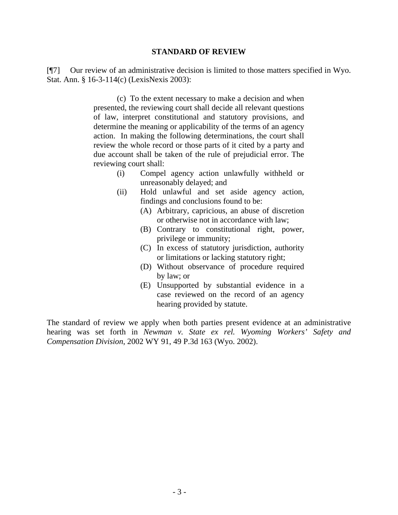#### **STANDARD OF REVIEW**

[¶7] Our review of an administrative decision is limited to those matters specified in Wyo. Stat. Ann. § 16-3-114(c) (LexisNexis 2003):

> (c) To the extent necessary to make a decision and when presented, the reviewing court shall decide all relevant questions of law, interpret constitutional and statutory provisions, and determine the meaning or applicability of the terms of an agency action. In making the following determinations, the court shall review the whole record or those parts of it cited by a party and due account shall be taken of the rule of prejudicial error. The reviewing court shall:

- (i) Compel agency action unlawfully withheld or unreasonably delayed; and
- (ii) Hold unlawful and set aside agency action, findings and conclusions found to be:
	- (A) Arbitrary, capricious, an abuse of discretion or otherwise not in accordance with law;
	- (B) Contrary to constitutional right, power, privilege or immunity;
	- (C) In excess of statutory jurisdiction, authority or limitations or lacking statutory right;
	- (D) Without observance of procedure required by law; or
	- (E) Unsupported by substantial evidence in a case reviewed on the record of an agency hearing provided by statute.

The standard of review we apply when both parties present evidence at an administrative hearing was set forth in *Newman v. State ex rel. Wyoming Workers' Safety and Compensation Division*, 2002 WY 91, 49 P.3d 163 (Wyo. 2002).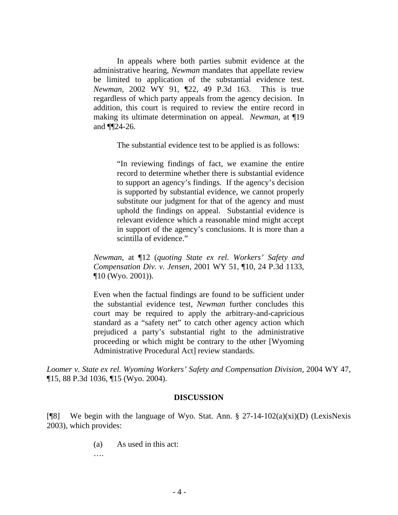In appeals where both parties submit evidence at the administrative hearing, *Newman* mandates that appellate review be limited to application of the substantial evidence test. *Newman*, 2002 WY 91, ¶22, 49 P.3d 163. This is true regardless of which party appeals from the agency decision. In addition, this court is required to review the entire record in making its ultimate determination on appeal. *Newman*, at ¶19 and ¶¶24-26.

The substantial evidence test to be applied is as follows:

"In reviewing findings of fact, we examine the entire record to determine whether there is substantial evidence to support an agency's findings. If the agency's decision is supported by substantial evidence, we cannot properly substitute our judgment for that of the agency and must uphold the findings on appeal. Substantial evidence is relevant evidence which a reasonable mind might accept in support of the agency's conclusions. It is more than a scintilla of evidence."

*Newman*, at ¶12 (*quoting State ex rel. Workers' Safety and Compensation Div. v. Jensen*, 2001 WY 51, ¶10, 24 P.3d 1133, ¶10 (Wyo. 2001)).

Even when the factual findings are found to be sufficient under the substantial evidence test, *Newman* further concludes this court may be required to apply the arbitrary-and-capricious standard as a "safety net" to catch other agency action which prejudiced a party's substantial right to the administrative proceeding or which might be contrary to the other [Wyoming Administrative Procedural Act] review standards.

Loomer v. State ex rel. Wyoming Workers' Safety and Compensation Division, 2004 WY 47, ¶15, 88 P.3d 1036, ¶15 (Wyo. 2004).

#### **DISCUSSION**

[¶8] We begin with the language of Wyo. Stat. Ann. § 27-14-102(a)(xi)(D) (LexisNexis 2003), which provides:

(a) As used in this act:

….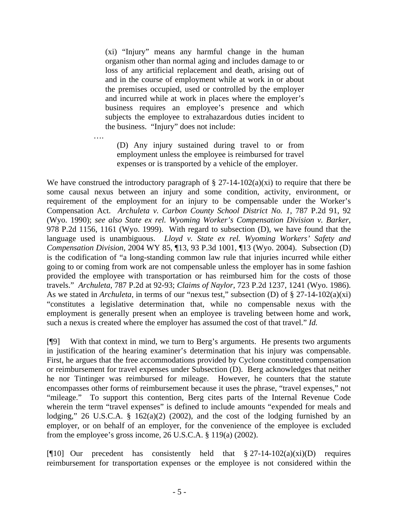(xi) "Injury" means any harmful change in the human organism other than normal aging and includes damage to or loss of any artificial replacement and death, arising out of and in the course of employment while at work in or about the premises occupied, used or controlled by the employer and incurred while at work in places where the employer's business requires an employee's presence and which subjects the employee to extrahazardous duties incident to the business. "Injury" does not include:

(D) Any injury sustained during travel to or from employment unless the employee is reimbursed for travel expenses or is transported by a vehicle of the employer.

….

We have construed the introductory paragraph of  $\S 27$ -14-102(a)(xi) to require that there be some causal nexus between an injury and some condition, activity, environment, or requirement of the employment for an injury to be compensable under the Worker's Compensation Act. *Archuleta v. Carbon County School District No. 1*, 787 P.2d 91, 92 (Wyo. 1990); *see also State ex rel. Wyoming Worker's Compensation Division v. Barker*, 978 P.2d 1156, 1161 (Wyo. 1999). With regard to subsection (D), we have found that the language used is unambiguous. *Lloyd v. State ex rel. Wyoming Workers' Safety and Compensation Division*, 2004 WY 85, ¶13, 93 P.3d 1001, ¶13 (Wyo. 2004). Subsection (D) is the codification of "a long-standing common law rule that injuries incurred while either going to or coming from work are not compensable unless the employer has in some fashion provided the employee with transportation or has reimbursed him for the costs of those travels." *Archuleta*, 787 P.2d at 92-93; *Claims of Naylor*, 723 P.2d 1237, 1241 (Wyo. 1986). As we stated in *Archuleta*, in terms of our "nexus test," subsection (D) of § 27-14-102(a)(xi) "constitutes a legislative determination that, while no compensable nexus with the employment is generally present when an employee is traveling between home and work, such a nexus is created where the employer has assumed the cost of that travel." *Id.*

[¶9] With that context in mind, we turn to Berg's arguments. He presents two arguments in justification of the hearing examiner's determination that his injury was compensable. First, he argues that the free accommodations provided by Cyclone constituted compensation or reimbursement for travel expenses under Subsection (D). Berg acknowledges that neither he nor Tintinger was reimbursed for mileage. However, he counters that the statute encompasses other forms of reimbursement because it uses the phrase, "travel expenses," not "mileage." To support this contention, Berg cites parts of the Internal Revenue Code wherein the term "travel expenses" is defined to include amounts "expended for meals and lodging," 26 U.S.C.A.  $\S$  162(a)(2) (2002), and the cost of the lodging furnished by an employer, or on behalf of an employer, for the convenience of the employee is excluded from the employee's gross income, 26 U.S.C.A. § 119(a) (2002).

[ $[10]$  Our precedent has consistently held that  $\S 27-14-102(a)(xi)(D)$  requires reimbursement for transportation expenses or the employee is not considered within the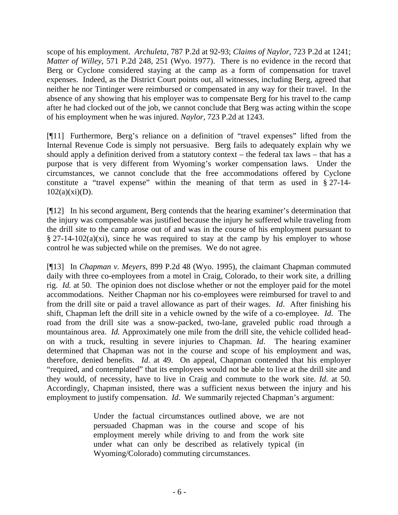scope of his employment. *Archuleta*, 787 P.2d at 92-93; *Claims of Naylor*, 723 P.2d at 1241; *Matter of Willey*, 571 P.2d 248, 251 (Wyo. 1977). There is no evidence in the record that Berg or Cyclone considered staying at the camp as a form of compensation for travel expenses. Indeed, as the District Court points out, all witnesses, including Berg, agreed that neither he nor Tintinger were reimbursed or compensated in any way for their travel. In the absence of any showing that his employer was to compensate Berg for his travel to the camp after he had clocked out of the job, we cannot conclude that Berg was acting within the scope of his employment when he was injured. *Naylor*, 723 P.2d at 1243.

[¶11] Furthermore, Berg's reliance on a definition of "travel expenses" lifted from the Internal Revenue Code is simply not persuasive. Berg fails to adequately explain why we should apply a definition derived from a statutory context – the federal tax laws – that has a purpose that is very different from Wyoming's worker compensation laws. Under the circumstances, we cannot conclude that the free accommodations offered by Cyclone constitute a "travel expense" within the meaning of that term as used in § 27-14-  $102(a)(xi)(D)$ .

[¶12] In his second argument, Berg contends that the hearing examiner's determination that the injury was compensable was justified because the injury he suffered while traveling from the drill site to the camp arose out of and was in the course of his employment pursuant to  $§$  27-14-102(a)(xi), since he was required to stay at the camp by his employer to whose control he was subjected while on the premises. We do not agree.

[¶13] In *Chapman v. Meyers*, 899 P.2d 48 (Wyo. 1995), the claimant Chapman commuted daily with three co-employees from a motel in Craig, Colorado, to their work site, a drilling rig. *Id.* at 50. The opinion does not disclose whether or not the employer paid for the motel accommodations. Neither Chapman nor his co-employees were reimbursed for travel to and from the drill site or paid a travel allowance as part of their wages. *Id*. After finishing his shift, Chapman left the drill site in a vehicle owned by the wife of a co-employee. *Id*. The road from the drill site was a snow-packed, two-lane, graveled public road through a mountainous area. *Id.* Approximately one mile from the drill site, the vehicle collided headon with a truck, resulting in severe injuries to Chapman. *Id*. The hearing examiner determined that Chapman was not in the course and scope of his employment and was, therefore, denied benefits. *Id*. at 49. On appeal, Chapman contended that his employer "required, and contemplated" that its employees would not be able to live at the drill site and they would, of necessity, have to live in Craig and commute to the work site. *Id*. at 50. Accordingly, Chapman insisted, there was a sufficient nexus between the injury and his employment to justify compensation. *Id*. We summarily rejected Chapman's argument:

> Under the factual circumstances outlined above, we are not persuaded Chapman was in the course and scope of his employment merely while driving to and from the work site under what can only be described as relatively typical (in Wyoming/Colorado) commuting circumstances.